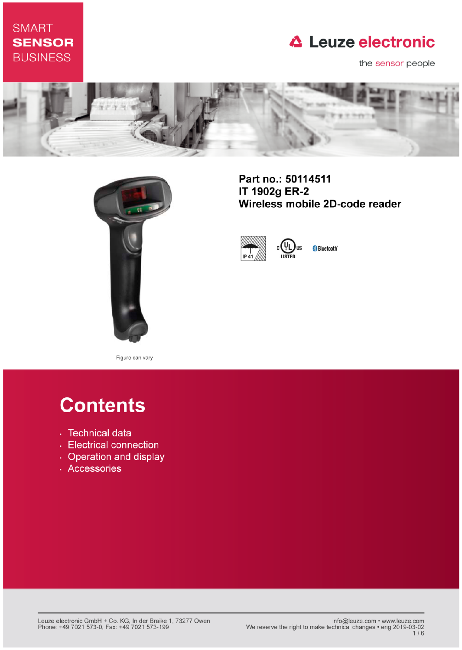### **SMART SENSOR BUSINESS**

## **△ Leuze electronic**

the sensor people





Part no.: 50114511 IT 1902g ER-2 Wireless mobile 2D-code reader



**Bluetooth** 

**IIS** 

Figure can vary

# **Contents**

- · Technical data
- Electrical connection
- Operation and display
- · Accessories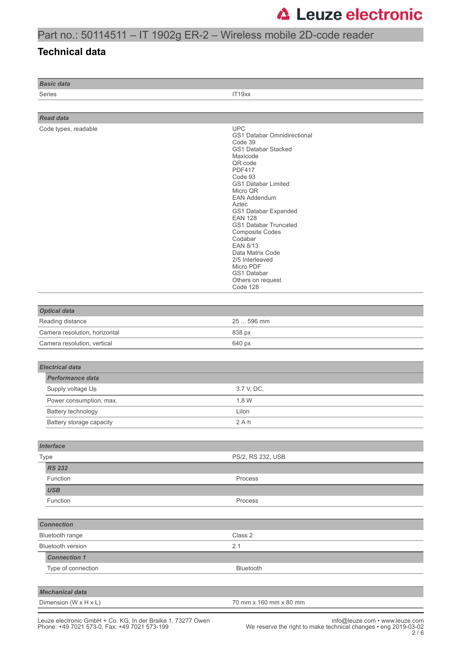### Part no.: 50114511 – IT 1902g ER-2 – Wireless mobile 2D-code reader

#### **Technical data**

*Basic data*

Series **IT19xx** 

| <b>Read data</b>                                                                                                        |                                                                                                                                                                                                                                                                                                                                                                                                                                  |
|-------------------------------------------------------------------------------------------------------------------------|----------------------------------------------------------------------------------------------------------------------------------------------------------------------------------------------------------------------------------------------------------------------------------------------------------------------------------------------------------------------------------------------------------------------------------|
| Code types, readable                                                                                                    | <b>UPC</b><br>GS1 Databar Omnidirectional<br>Code 39<br>GS1 Databar Stacked<br>Maxicode<br>QR code<br><b>PDF417</b><br>Code 93<br>GS1 Databar Limited<br>Micro QR<br><b>EAN Addendum</b><br>Aztec<br>GS1 Databar Expanded<br><b>EAN 128</b><br>GS1 Databar Truncated<br><b>Composite Codes</b><br>Codabar<br><b>EAN 8/13</b><br>Data Matrix Code<br>2/5 Interleaved<br>Micro PDF<br>GS1 Databar<br>Others on request<br>Code 128 |
|                                                                                                                         |                                                                                                                                                                                                                                                                                                                                                                                                                                  |
| <b>Optical data</b>                                                                                                     |                                                                                                                                                                                                                                                                                                                                                                                                                                  |
| Reading distance                                                                                                        | 25  596 mm                                                                                                                                                                                                                                                                                                                                                                                                                       |
| Camera resolution, horizontal                                                                                           | 838 px                                                                                                                                                                                                                                                                                                                                                                                                                           |
| Camera resolution, vertical                                                                                             | 640 px                                                                                                                                                                                                                                                                                                                                                                                                                           |
| <b>Electrical data</b><br><b>Performance data</b><br>Supply voltage UB<br>Power consumption, max.<br>Battery technology | 3.7 V, DC,<br>1.8 W<br>Lilon                                                                                                                                                                                                                                                                                                                                                                                                     |
| Battery storage capacity                                                                                                | $2A \cdot h$                                                                                                                                                                                                                                                                                                                                                                                                                     |
| <b>Interface</b>                                                                                                        |                                                                                                                                                                                                                                                                                                                                                                                                                                  |
| Type                                                                                                                    | PS/2, RS 232, USB                                                                                                                                                                                                                                                                                                                                                                                                                |
| <b>RS 232</b>                                                                                                           |                                                                                                                                                                                                                                                                                                                                                                                                                                  |
| Function                                                                                                                | Process                                                                                                                                                                                                                                                                                                                                                                                                                          |
| <b>USB</b>                                                                                                              |                                                                                                                                                                                                                                                                                                                                                                                                                                  |
| Function                                                                                                                | Process                                                                                                                                                                                                                                                                                                                                                                                                                          |
|                                                                                                                         |                                                                                                                                                                                                                                                                                                                                                                                                                                  |
| <b>Connection</b>                                                                                                       |                                                                                                                                                                                                                                                                                                                                                                                                                                  |
| Bluetooth range                                                                                                         | Class 2                                                                                                                                                                                                                                                                                                                                                                                                                          |
| Bluetooth version                                                                                                       | 2.1                                                                                                                                                                                                                                                                                                                                                                                                                              |
| <b>Connection 1</b>                                                                                                     |                                                                                                                                                                                                                                                                                                                                                                                                                                  |
| Type of connection                                                                                                      | Bluetooth                                                                                                                                                                                                                                                                                                                                                                                                                        |
|                                                                                                                         |                                                                                                                                                                                                                                                                                                                                                                                                                                  |
| <b>Mechanical data</b>                                                                                                  |                                                                                                                                                                                                                                                                                                                                                                                                                                  |
| Dimension (W x H x L)                                                                                                   | 70 mm x 160 mm x 80 mm                                                                                                                                                                                                                                                                                                                                                                                                           |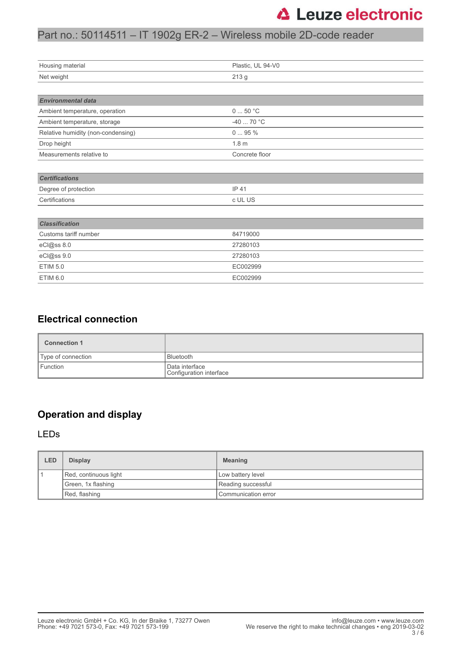#### Part no.: 50114511 – IT 1902g ER-2 – Wireless mobile 2D-code reader

| Housing material                   | Plastic, UL 94-V0 |
|------------------------------------|-------------------|
| Net weight                         | 213 g             |
|                                    |                   |
|                                    |                   |
| <b>Environmental data</b>          |                   |
| Ambient temperature, operation     | 050 °C            |
| Ambient temperature, storage       | -40  70 °C        |
| Relative humidity (non-condensing) | 095%              |
| Drop height                        | 1.8 <sub>m</sub>  |
| Measurements relative to           | Concrete floor    |
|                                    |                   |
| <b>Certifications</b>              |                   |
| Degree of protection               | IP 41             |
| Certifications                     | c UL US           |
|                                    |                   |
| <b>Classification</b>              |                   |
| Customs tariff number              | 84719000          |
| eCl@ss 8.0                         | 27280103          |
| eCl@ss 9.0                         | 27280103          |
| <b>ETIM 5.0</b>                    | EC002999          |
|                                    |                   |

#### **Electrical connection**

| <b>Connection 1</b> |                                           |
|---------------------|-------------------------------------------|
| Type of connection  | l Bluetooth                               |
| <b>Function</b>     | Data interface<br>Configuration interface |

#### **Operation and display**

#### LEDs

| LED | <b>Display</b>        | <b>Meaning</b>        |
|-----|-----------------------|-----------------------|
|     | Red, continuous light | Low battery level     |
|     | Green, 1x flashing    | Reading successful    |
|     | Red, flashing         | l Communication error |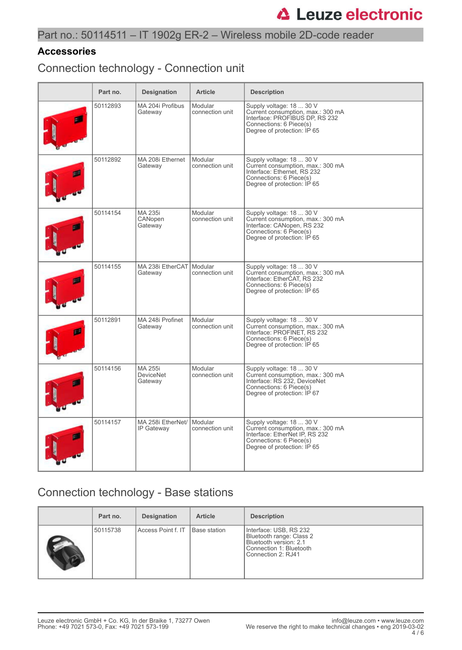#### **Accessories**

Connection technology - Connection unit

| Part no. | <b>Designation</b>                     | <b>Article</b>             | <b>Description</b>                                                                                                                                        |
|----------|----------------------------------------|----------------------------|-----------------------------------------------------------------------------------------------------------------------------------------------------------|
| 50112893 | MA 204i Profibus<br>Gateway            | Modular<br>connection unit | Supply voltage: 18  30 V<br>Current consumption, max.: 300 mA<br>Interface: PROFIBUS DP, RS 232<br>Connections: 6 Piece(s)<br>Degree of protection: IP 65 |
| 50112892 | MA 208i Ethernet<br>Gateway            | Modular<br>connection unit | Supply voltage: 18  30 V<br>Current consumption, max.: 300 mA<br>Interface: Ethernet, RS 232<br>Connections: 6 Piece(s)<br>Degree of protection: IP 65    |
| 50114154 | MA 235i<br>CANopen<br>Gateway          | Modular<br>connection unit | Supply voltage: 18  30 V<br>Current consumption, max.: 300 mA<br>Interface: CANopen, RS 232<br>Connections: 6 Piece(s)<br>Degree of protection: IP 65     |
| 50114155 | MA 238i EtherCAT<br>Gateway            | Modular<br>connection unit | Supply voltage: 18  30 V<br>Current consumption, max.: 300 mA<br>Interface: EtherCAT, RS 232<br>Connections: 6 Piece(s)<br>Degree of protection: IP 65    |
| 50112891 | MA 248i Profinet<br>Gateway            | Modular<br>connection unit | Supply voltage: 18  30 V<br>Current consumption, max.: 300 mA<br>Interface: PROFINET, RS 232<br>Connections: 6 Piece(s)<br>Degree of protection: IP 65    |
| 50114156 | MA 255i<br><b>DeviceNet</b><br>Gateway | Modular<br>connection unit | Supply voltage: 18  30 V<br>Current consumption, max.: 300 mA<br>Interface: RS 232. DeviceNet<br>Connections: 6 Piece(s)<br>Degree of protection: IP 67   |
| 50114157 | MA 258i EtherNet/<br>IP Gateway        | Modular<br>connection unit | Supply voltage: 18  30 V<br>Current consumption, max.: 300 mA<br>Interface: EtherNet IP, RS 232<br>Connections: 6 Piece(s)<br>Degree of protection: IP 65 |

### Connection technology - Base stations

| Part no. | <b>Designation</b> | <b>Article</b> | <b>Description</b>                                                                                                            |
|----------|--------------------|----------------|-------------------------------------------------------------------------------------------------------------------------------|
| 50115738 | Access Point f. IT | Base station   | Interface: USB, RS 232<br>Bluetooth range: Class 2<br>Bluetooth version: 2.1<br>Connection 1: Bluetooth<br>Connection 2: RJ41 |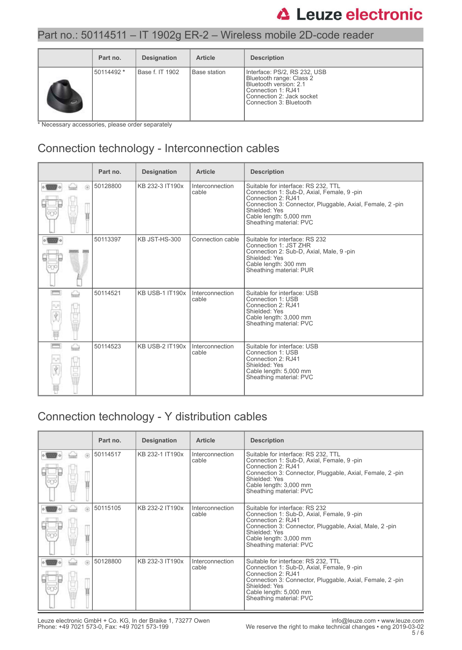#### Part no.: 50114511 – IT 1902g ER-2 – Wireless mobile 2D-code reader

| Part no.   | <b>Designation</b> | <b>Article</b> | <b>Description</b>                                                                                                                                               |
|------------|--------------------|----------------|------------------------------------------------------------------------------------------------------------------------------------------------------------------|
| 50114492 * | Base f. IT 1902    | Base station   | Interface: PS/2, RS 232, USB<br>Bluetooth range: Class 2<br>Bluetooth version: 2.1<br>Connection 1: RJ41<br>Connection 2: Jack socket<br>Connection 3: Bluetooth |

\* Necessary accessories, please order separately

## Connection technology - Interconnection cables

|                   | Part no. | <b>Designation</b>     | <b>Article</b>           | <b>Description</b>                                                                                                                                                                                                                       |
|-------------------|----------|------------------------|--------------------------|------------------------------------------------------------------------------------------------------------------------------------------------------------------------------------------------------------------------------------------|
| 6                 | 50128800 | KB 232-3 IT190x        | Interconnection<br>cable | Suitable for interface: RS 232, TTL<br>Connection 1: Sub-D, Axial, Female, 9-pin<br>Connection 2: RJ41<br>Connection 3: Connector, Pluggable, Axial, Female, 2-pin<br>Shielded: Yes<br>Cable length: 5,000 mm<br>Sheathing material: PVC |
|                   | 50113397 | KB JST-HS-300          | Connection cable         | Suitable for interface: RS 232<br>Connection 1: JST ZHR<br>Connection 2: Sub-D, Axial, Male, 9-pin<br>Shielded: Yes<br>Cable length: 300 mm<br>Sheathing material: PUR                                                                   |
| pressu<br>⇔       | 50114521 | <b>KB USB-1 IT190x</b> | Interconnection<br>cable | Suitable for interface: USB<br>Connection 1: USB<br>Connection 2: RJ41<br>Shielded: Yes<br>Cable length: 3,000 mm<br>Sheathing material: PVC                                                                                             |
| <b>FEWWO</b><br>⇔ | 50114523 | <b>KB USB-2 IT190x</b> | Interconnection<br>cable | Suitable for interface: USB<br>Connection 1: USB<br>Connection 2: RJ41<br>Shielded: Yes<br>Cable length: 5,000 mm<br>Sheathing material: PVC                                                                                             |

## Connection technology - Y distribution cables

|         | Part no. | <b>Designation</b> | <b>Article</b>           | <b>Description</b>                                                                                                                                                                                                                                  |
|---------|----------|--------------------|--------------------------|-----------------------------------------------------------------------------------------------------------------------------------------------------------------------------------------------------------------------------------------------------|
| 6       | 50114517 | KB 232-1 IT190x    | Interconnection<br>cable | Suitable for interface: RS 232, TTL<br>Connection 1: Sub-D, Axial, Female, 9-pin<br>Connection $2 \cdot R$ , 141<br>Connection 3: Connector, Pluggable, Axial, Female, 2 -pin<br>Shielded: Yes<br>Cable length: 3,000 mm<br>Sheathing material: PVC |
| $\circ$ | 50115105 | KB 232-2 IT190x    | Interconnection<br>cable | Suitable for interface: RS 232<br>Connection 1: Sub-D, Axial, Female, 9-pin<br>Connection $2 \cdot R$ , 141<br>Connection 3: Connector, Pluggable, Axial, Male, 2-pin<br>Shielded: Yes<br>Cable length: 3,000 mm<br>Sheathing material: PVC         |
| $\circ$ | 50128800 | KB 232-3 IT190x    | Interconnection<br>cable | Suitable for interface: RS 232, TTL<br>Connection 1: Sub-D, Axial, Female, 9-pin<br>Connection 2: RJ41<br>Connection 3: Connector, Pluggable, Axial, Female, 2-pin<br>Shielded: Yes<br>Cable length: 5,000 mm<br>Sheathing material: PVC            |

Leuze electronic GmbH + Co. KG, In der Braike 1, 73277 Owen info@leuze.com • www.leuze.com Phone: +49 7021 573-0, Fax: +49 7021 573-199 We reserve the right to make technical changes • eng 2019-03-02